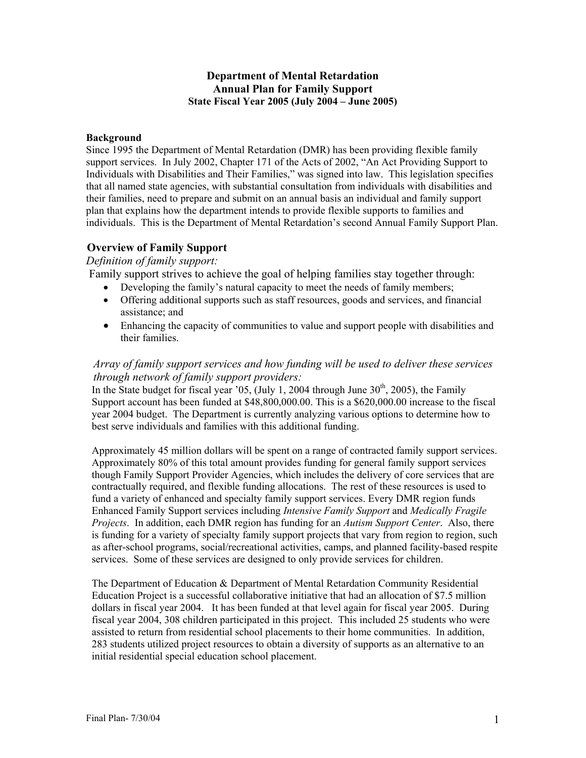## **Department of Mental Retardation Annual Plan for Family Support State Fiscal Year 2005 (July 2004 – June 2005)**

## **Background**

Since 1995 the Department of Mental Retardation (DMR) has been providing flexible family support services. In July 2002, Chapter 171 of the Acts of 2002, "An Act Providing Support to Individuals with Disabilities and Their Families," was signed into law. This legislation specifies that all named state agencies, with substantial consultation from individuals with disabilities and their families, need to prepare and submit on an annual basis an individual and family support plan that explains how the department intends to provide flexible supports to families and individuals. This is the Department of Mental Retardation's second Annual Family Support Plan.

# **Overview of Family Support**

## *Definition of family support:*

Family support strives to achieve the goal of helping families stay together through:

- Developing the family's natural capacity to meet the needs of family members;
- Offering additional supports such as staff resources, goods and services, and financial assistance; and
- Enhancing the capacity of communities to value and support people with disabilities and their families.

# *Array of family support services and how funding will be used to deliver these services through network of family support providers:*

In the State budget for fiscal year '05, (July 1, 2004 through June  $30<sup>th</sup>$ , 2005), the Family Support account has been funded at \$48,800,000.00. This is a \$620,000.00 increase to the fiscal year 2004 budget. The Department is currently analyzing various options to determine how to best serve individuals and families with this additional funding.

Approximately 45 million dollars will be spent on a range of contracted family support services. Approximately 80% of this total amount provides funding for general family support services though Family Support Provider Agencies, which includes the delivery of core services that are contractually required, and flexible funding allocations. The rest of these resources is used to fund a variety of enhanced and specialty family support services. Every DMR region funds Enhanced Family Support services including *Intensive Family Support* and *Medically Fragile Projects*. In addition, each DMR region has funding for an *Autism Support Center*. Also, there is funding for a variety of specialty family support projects that vary from region to region, such as after-school programs, social/recreational activities, camps, and planned facility-based respite services. Some of these services are designed to only provide services for children.

The Department of Education & Department of Mental Retardation Community Residential Education Project is a successful collaborative initiative that had an allocation of \$7.5 million dollars in fiscal year 2004. It has been funded at that level again for fiscal year 2005. During fiscal year 2004, 308 children participated in this project. This included 25 students who were assisted to return from residential school placements to their home communities. In addition, 283 students utilized project resources to obtain a diversity of supports as an alternative to an initial residential special education school placement.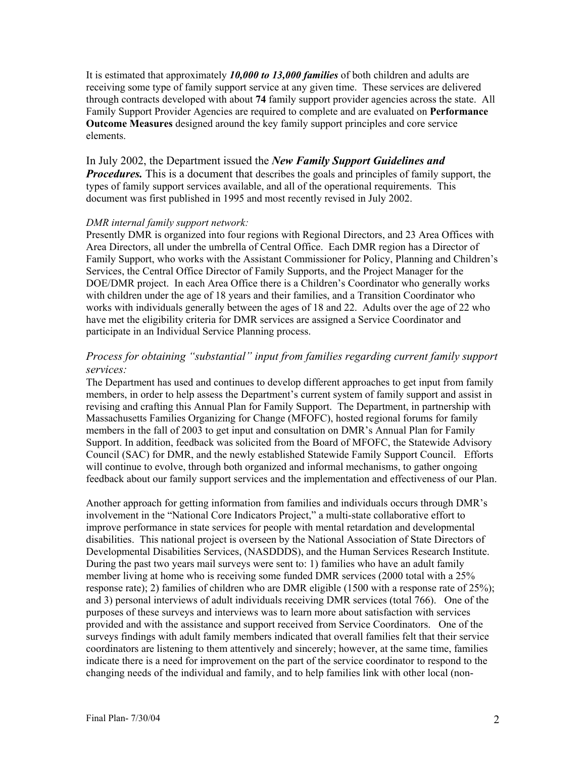It is estimated that approximately *10,000 to 13,000 families* of both children and adults are receiving some type of family support service at any given time. These services are delivered through contracts developed with about **74** family support provider agencies across the state. All Family Support Provider Agencies are required to complete and are evaluated on **Performance Outcome Measures** designed around the key family support principles and core service elements.

In July 2002, the Department issued the *New Family Support Guidelines and Procedures.* This is a document that describes the goals and principles of family support, the types of family support services available, and all of the operational requirements. This document was first published in 1995 and most recently revised in July 2002.

#### *DMR internal family support network:*

Presently DMR is organized into four regions with Regional Directors, and 23 Area Offices with Area Directors, all under the umbrella of Central Office. Each DMR region has a Director of Family Support, who works with the Assistant Commissioner for Policy, Planning and Children's Services, the Central Office Director of Family Supports, and the Project Manager for the DOE/DMR project. In each Area Office there is a Children's Coordinator who generally works with children under the age of 18 years and their families, and a Transition Coordinator who works with individuals generally between the ages of 18 and 22. Adults over the age of 22 who have met the eligibility criteria for DMR services are assigned a Service Coordinator and participate in an Individual Service Planning process.

# *Process for obtaining "substantial" input from families regarding current family support services:*

The Department has used and continues to develop different approaches to get input from family members, in order to help assess the Department's current system of family support and assist in revising and crafting this Annual Plan for Family Support. The Department, in partnership with Massachusetts Families Organizing for Change (MFOFC), hosted regional forums for family members in the fall of 2003 to get input and consultation on DMR's Annual Plan for Family Support. In addition, feedback was solicited from the Board of MFOFC, the Statewide Advisory Council (SAC) for DMR, and the newly established Statewide Family Support Council. Efforts will continue to evolve, through both organized and informal mechanisms, to gather ongoing feedback about our family support services and the implementation and effectiveness of our Plan.

Another approach for getting information from families and individuals occurs through DMR's involvement in the "National Core Indicators Project," a multi-state collaborative effort to improve performance in state services for people with mental retardation and developmental disabilities. This national project is overseen by the National Association of State Directors of Developmental Disabilities Services, (NASDDDS), and the Human Services Research Institute. During the past two years mail surveys were sent to: 1) families who have an adult family member living at home who is receiving some funded DMR services (2000 total with a 25% response rate); 2) families of children who are DMR eligible (1500 with a response rate of 25%); and 3) personal interviews of adult individuals receiving DMR services (total 766). One of the purposes of these surveys and interviews was to learn more about satisfaction with services provided and with the assistance and support received from Service Coordinators. One of the surveys findings with adult family members indicated that overall families felt that their service coordinators are listening to them attentively and sincerely; however, at the same time, families indicate there is a need for improvement on the part of the service coordinator to respond to the changing needs of the individual and family, and to help families link with other local (non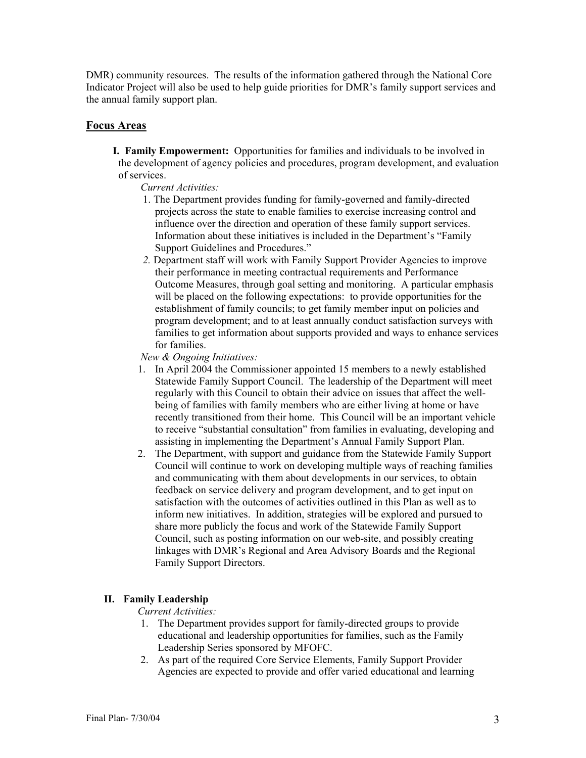DMR) community resources. The results of the information gathered through the National Core Indicator Project will also be used to help guide priorities for DMR's family support services and the annual family support plan.

## **Focus Areas**

**I. Family Empowerment:** Opportunities for families and individuals to be involved in the development of agency policies and procedures, program development, and evaluation of services.

*Current Activities:*

- 1. The Department provides funding for family-governed and family-directed projects across the state to enable families to exercise increasing control and influence over the direction and operation of these family support services. Information about these initiatives is included in the Department's "Family Support Guidelines and Procedures."
- *2.* Department staff will work with Family Support Provider Agencies to improve their performance in meeting contractual requirements and Performance Outcome Measures, through goal setting and monitoring. A particular emphasis will be placed on the following expectations: to provide opportunities for the establishment of family councils; to get family member input on policies and program development; and to at least annually conduct satisfaction surveys with families to get information about supports provided and ways to enhance services for families.

*New & Ongoing Initiatives:* 

- 1. In April 2004 the Commissioner appointed 15 members to a newly established Statewide Family Support Council. The leadership of the Department will meet regularly with this Council to obtain their advice on issues that affect the wellbeing of families with family members who are either living at home or have recently transitioned from their home. This Council will be an important vehicle to receive "substantial consultation" from families in evaluating, developing and assisting in implementing the Department's Annual Family Support Plan.
- 2. The Department, with support and guidance from the Statewide Family Support Council will continue to work on developing multiple ways of reaching families and communicating with them about developments in our services, to obtain feedback on service delivery and program development, and to get input on satisfaction with the outcomes of activities outlined in this Plan as well as to inform new initiatives. In addition, strategies will be explored and pursued to share more publicly the focus and work of the Statewide Family Support Council, such as posting information on our web-site, and possibly creating linkages with DMR's Regional and Area Advisory Boards and the Regional Family Support Directors.

### **II. Family Leadership**

### *Current Activities:*

- 1. The Department provides support for family-directed groups to provide educational and leadership opportunities for families, such as the Family Leadership Series sponsored by MFOFC.
- 2. As part of the required Core Service Elements, Family Support Provider Agencies are expected to provide and offer varied educational and learning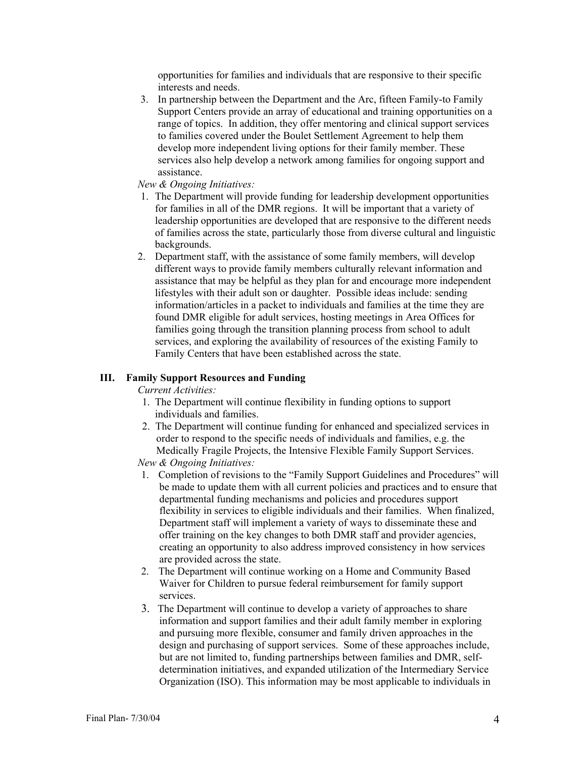opportunities for families and individuals that are responsive to their specific interests and needs.

3. In partnership between the Department and the Arc, fifteen Family-to Family Support Centers provide an array of educational and training opportunities on a range of topics. In addition, they offer mentoring and clinical support services to families covered under the Boulet Settlement Agreement to help them develop more independent living options for their family member. These services also help develop a network among families for ongoing support and assistance.

#### *New & Ongoing Initiatives:*

- 1. The Department will provide funding for leadership development opportunities for families in all of the DMR regions. It will be important that a variety of leadership opportunities are developed that are responsive to the different needs of families across the state, particularly those from diverse cultural and linguistic backgrounds.
- 2. Department staff, with the assistance of some family members, will develop different ways to provide family members culturally relevant information and assistance that may be helpful as they plan for and encourage more independent lifestyles with their adult son or daughter. Possible ideas include: sending information/articles in a packet to individuals and families at the time they are found DMR eligible for adult services, hosting meetings in Area Offices for families going through the transition planning process from school to adult services, and exploring the availability of resources of the existing Family to Family Centers that have been established across the state.

#### **III. Family Support Resources and Funding**

*Current Activities:* 

- 1. The Department will continue flexibility in funding options to support individuals and families.
- 2. The Department will continue funding for enhanced and specialized services in order to respond to the specific needs of individuals and families, e.g. the Medically Fragile Projects, the Intensive Flexible Family Support Services.
- *New & Ongoing Initiatives:*
- 1. Completion of revisions to the "Family Support Guidelines and Procedures" will be made to update them with all current policies and practices and to ensure that departmental funding mechanisms and policies and procedures support flexibility in services to eligible individuals and their families. When finalized, Department staff will implement a variety of ways to disseminate these and offer training on the key changes to both DMR staff and provider agencies, creating an opportunity to also address improved consistency in how services are provided across the state.
- 2. The Department will continue working on a Home and Community Based Waiver for Children to pursue federal reimbursement for family support services.
- 3. The Department will continue to develop a variety of approaches to share information and support families and their adult family member in exploring and pursuing more flexible, consumer and family driven approaches in the design and purchasing of support services. Some of these approaches include, but are not limited to, funding partnerships between families and DMR, selfdetermination initiatives, and expanded utilization of the Intermediary Service Organization (ISO). This information may be most applicable to individuals in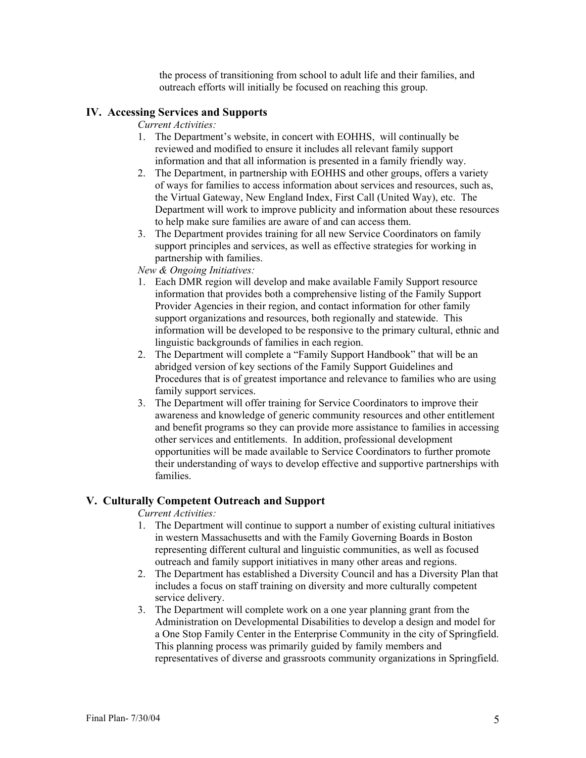the process of transitioning from school to adult life and their families, and outreach efforts will initially be focused on reaching this group.

### **IV. Accessing Services and Supports**

*Current Activities:* 

- 1. The Department's website, in concert with EOHHS, will continually be reviewed and modified to ensure it includes all relevant family support information and that all information is presented in a family friendly way.
- 2. The Department, in partnership with EOHHS and other groups, offers a variety of ways for families to access information about services and resources, such as, the Virtual Gateway, New England Index, First Call (United Way), etc. The Department will work to improve publicity and information about these resources to help make sure families are aware of and can access them.
- 3. The Department provides training for all new Service Coordinators on family support principles and services, as well as effective strategies for working in partnership with families.

*New & Ongoing Initiatives:* 

- 1. Each DMR region will develop and make available Family Support resource information that provides both a comprehensive listing of the Family Support Provider Agencies in their region, and contact information for other family support organizations and resources, both regionally and statewide. This information will be developed to be responsive to the primary cultural, ethnic and linguistic backgrounds of families in each region.
- 2. The Department will complete a "Family Support Handbook" that will be an abridged version of key sections of the Family Support Guidelines and Procedures that is of greatest importance and relevance to families who are using family support services.
- 3. The Department will offer training for Service Coordinators to improve their awareness and knowledge of generic community resources and other entitlement and benefit programs so they can provide more assistance to families in accessing other services and entitlements. In addition, professional development opportunities will be made available to Service Coordinators to further promote their understanding of ways to develop effective and supportive partnerships with families.

## **V. Culturally Competent Outreach and Support**

*Current Activities:* 

- 1. The Department will continue to support a number of existing cultural initiatives in western Massachusetts and with the Family Governing Boards in Boston representing different cultural and linguistic communities, as well as focused outreach and family support initiatives in many other areas and regions.
- 2. The Department has established a Diversity Council and has a Diversity Plan that includes a focus on staff training on diversity and more culturally competent service delivery.
- 3. The Department will complete work on a one year planning grant from the Administration on Developmental Disabilities to develop a design and model for a One Stop Family Center in the Enterprise Community in the city of Springfield. This planning process was primarily guided by family members and representatives of diverse and grassroots community organizations in Springfield.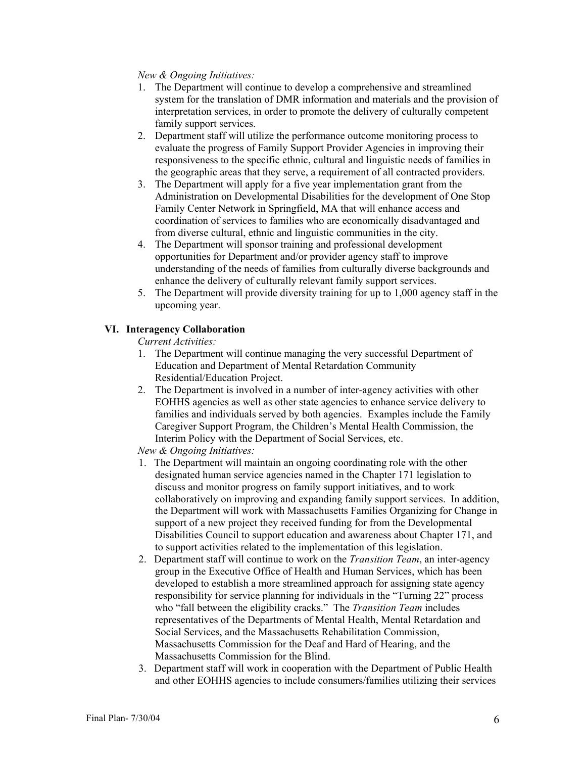## *New & Ongoing Initiatives:*

- 1. The Department will continue to develop a comprehensive and streamlined system for the translation of DMR information and materials and the provision of interpretation services, in order to promote the delivery of culturally competent family support services.
- 2. Department staff will utilize the performance outcome monitoring process to evaluate the progress of Family Support Provider Agencies in improving their responsiveness to the specific ethnic, cultural and linguistic needs of families in the geographic areas that they serve, a requirement of all contracted providers.
- 3. The Department will apply for a five year implementation grant from the Administration on Developmental Disabilities for the development of One Stop Family Center Network in Springfield, MA that will enhance access and coordination of services to families who are economically disadvantaged and from diverse cultural, ethnic and linguistic communities in the city.
- 4. The Department will sponsor training and professional development opportunities for Department and/or provider agency staff to improve understanding of the needs of families from culturally diverse backgrounds and enhance the delivery of culturally relevant family support services.
- 5. The Department will provide diversity training for up to 1,000 agency staff in the upcoming year.

## **VI. Interagency Collaboration**

- *Current Activities:*
- 1. The Department will continue managing the very successful Department of Education and Department of Mental Retardation Community Residential/Education Project.
- 2. The Department is involved in a number of inter-agency activities with other EOHHS agencies as well as other state agencies to enhance service delivery to families and individuals served by both agencies. Examples include the Family Caregiver Support Program, the Children's Mental Health Commission, the Interim Policy with the Department of Social Services, etc.

*New & Ongoing Initiatives:*

- 1. The Department will maintain an ongoing coordinating role with the other designated human service agencies named in the Chapter 171 legislation to discuss and monitor progress on family support initiatives, and to work collaboratively on improving and expanding family support services. In addition, the Department will work with Massachusetts Families Organizing for Change in support of a new project they received funding for from the Developmental Disabilities Council to support education and awareness about Chapter 171, and to support activities related to the implementation of this legislation.
- 2. Department staff will continue to work on the *Transition Team*, an inter-agency group in the Executive Office of Health and Human Services, which has been developed to establish a more streamlined approach for assigning state agency responsibility for service planning for individuals in the "Turning 22" process who "fall between the eligibility cracks." The *Transition Team* includes representatives of the Departments of Mental Health, Mental Retardation and Social Services, and the Massachusetts Rehabilitation Commission, Massachusetts Commission for the Deaf and Hard of Hearing, and the Massachusetts Commission for the Blind.
- 3. Department staff will work in cooperation with the Department of Public Health and other EOHHS agencies to include consumers/families utilizing their services